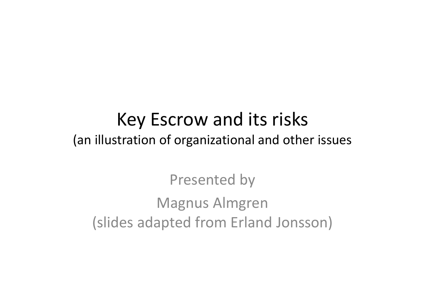#### Key Escrow and its risks (an illustration of organizational and other issues

Presented by Magnus Almgren (slides adapted from Erland Jonsson)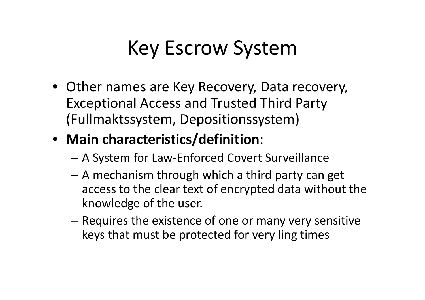## Key Escrow System

• Other names are Key Recovery, Data recovery, Exceptional Access and Trusted Third Party (Fullmaktssystem, Depositionssystem)

#### • **Main characteristics/definition**:

- A System for Law‐Enforced Covert Surveillance
- A mechanism through which <sup>a</sup> third party can get access to the clear text of encrypted data without the knowledge of the user.
- $-$  Requires the existence of one or many very sensitive keys that must be protected for very ling times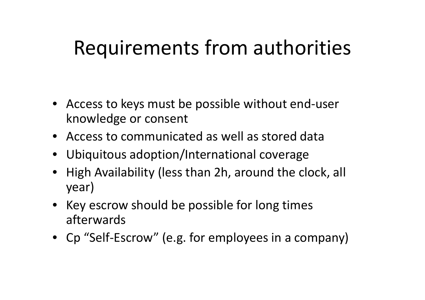## Requirements from authorities

- Access to keys must be possible without end ‐user knowledge or consent
- Access to communicated as well as stored data
- Ubiquitous adoption/International coverage
- High Availability (less than 2h, around the clock, all year)
- Key escrow should be possible for long times afterwards
- Cp "Self-Escrow" (e.g. for employees in a company)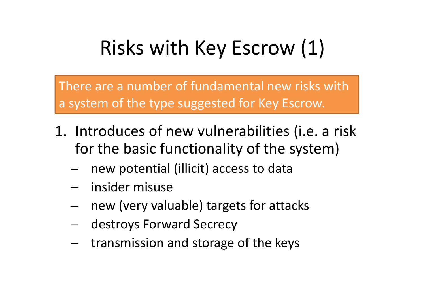# Risks with Key Escrow (1)

There are <sup>a</sup> number of fundamental new risks with a system of the type suggested for Key Escrow.

- 1. Introduces of new vulnerabilities (i.e. <sup>a</sup> risk for the basic functionality of the system)
	- – $-$  new potential (illicit) access to data
	- –insider misuse
	- – $-$  new (very valuable) targets for attacks
	- –destroys Forward Secrecy
	- –transmission and storage of the keys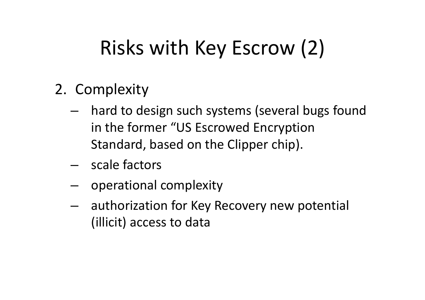# Risks with Key Escrow (2)

- 2. Complexity
	- hard to design such systems (several bugs found in the former "US Escrowed Encryption Standard, based on the Clipper chip).
	- scale factors
	- –- operational complexity
	- – authorization for Key Recovery new potential (illicit) access to data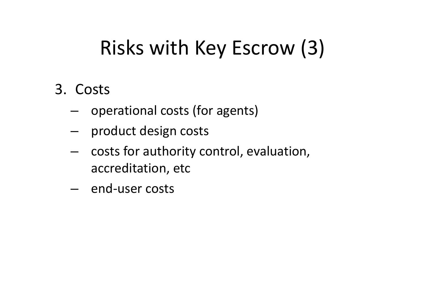# Risks with Key Escrow (3)

#### 3. Costs

- operational costs (for agents)
- –product design costs
- – costs for authority control, evaluation, accreditation, etc
- end‐user costs